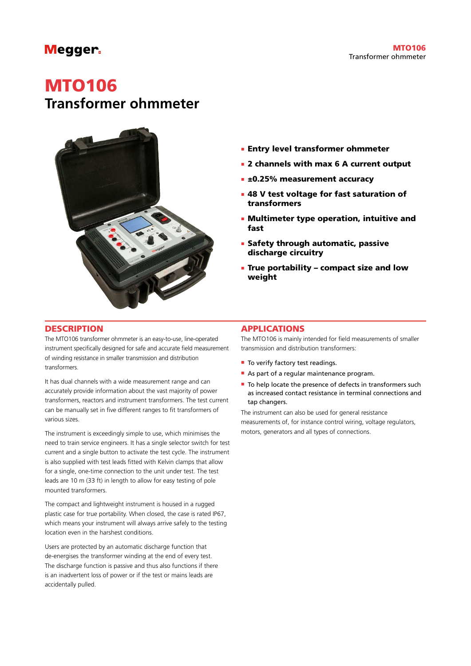## **Megger**

# MTO106

## **Transformer ohmmeter**



- **Entry level transformer ohmmeter**
- 2 channels with max 6 A current output
- **E** ±0.25% measurement accuracy
- **. 48 V test voltage for fast saturation of** transformers
- **E** Multimeter type operation, intuitive and fast
- **E** Safety through automatic, passive discharge circuitry
- **.** True portability compact size and low weight

### **DESCRIPTION**

The MTO106 transformer ohmmeter is an easy-to-use, line-operated instrument specifically designed for safe and accurate field measurement of winding resistance in smaller transmission and distribution transformers.

It has dual channels with a wide measurement range and can accurately provide information about the vast majority of power transformers, reactors and instrument transformers. The test current can be manually set in five different ranges to fit transformers of various sizes.

The instrument is exceedingly simple to use, which minimises the need to train service engineers. It has a single selector switch for test current and a single button to activate the test cycle. The instrument is also supplied with test leads fitted with Kelvin clamps that allow for a single, one-time connection to the unit under test. The test leads are 10 m (33 ft) in length to allow for easy testing of pole mounted transformers.

The compact and lightweight instrument is housed in a rugged plastic case for true portability. When closed, the case is rated IP67, which means your instrument will always arrive safely to the testing location even in the harshest conditions.

Users are protected by an automatic discharge function that de-energises the transformer winding at the end of every test. The discharge function is passive and thus also functions if there is an inadvertent loss of power or if the test or mains leads are accidentally pulled.

## **APPLICATIONS**

The MTO106 is mainly intended for field measurements of smaller transmission and distribution transformers:

- $\blacksquare$  To verify factory test readings.
- As part of a regular maintenance program.
- To help locate the presence of defects in transformers such as increased contact resistance in terminal connections and tap changers.

The instrument can also be used for general resistance measurements of, for instance control wiring, voltage regulators, motors, generators and all types of connections.